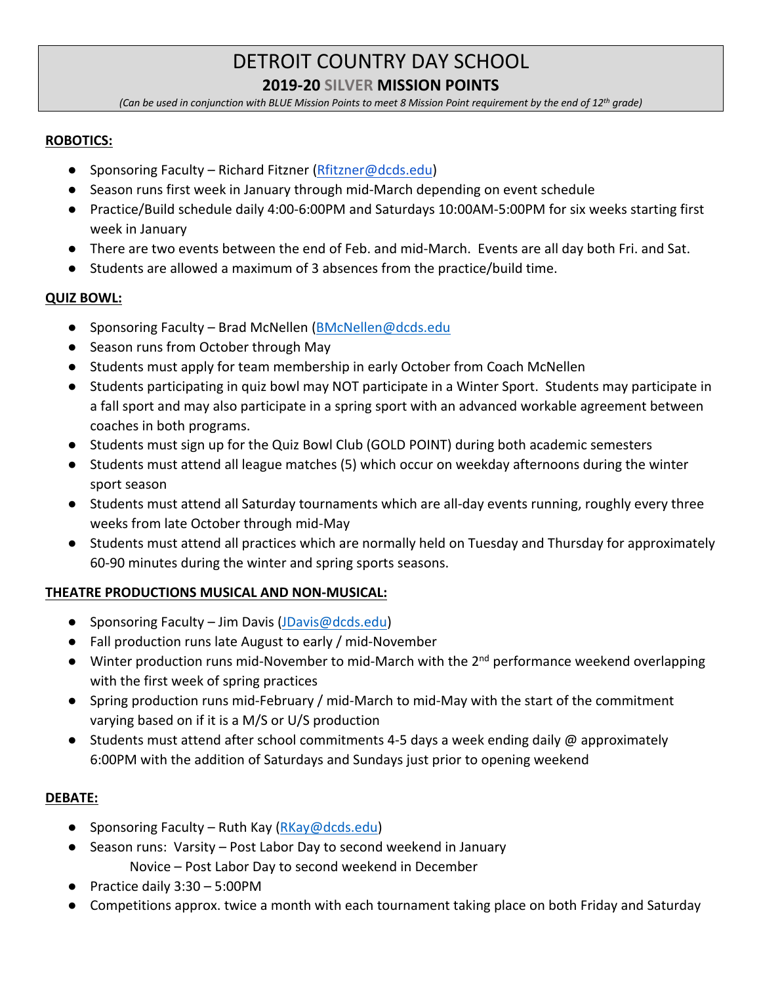# DETROIT COUNTRY DAY SCHOOL **2019-20 SILVER MISSION POINTS**

*(Can be used in conjunction with BLUE Mission Points to meet 8 Mission Point requirement by the end of 12th grade)*

### **ROBOTICS:**

- Sponsoring Faculty Richard Fitzner (Rfitzner@dcds.edu)
- Season runs first week in January through mid-March depending on event schedule
- Practice/Build schedule daily 4:00-6:00PM and Saturdays 10:00AM-5:00PM for six weeks starting first week in January
- There are two events between the end of Feb. and mid-March. Events are all day both Fri. and Sat.
- Students are allowed a maximum of 3 absences from the practice/build time.

## **QUIZ BOWL:**

- Sponsoring Faculty Brad McNellen (BMcNellen@dcds.edu
- Season runs from October through May
- Students must apply for team membership in early October from Coach McNellen
- Students participating in quiz bowl may NOT participate in a Winter Sport. Students may participate in a fall sport and may also participate in a spring sport with an advanced workable agreement between coaches in both programs.
- Students must sign up for the Quiz Bowl Club (GOLD POINT) during both academic semesters
- Students must attend all league matches (5) which occur on weekday afternoons during the winter sport season
- Students must attend all Saturday tournaments which are all-day events running, roughly every three weeks from late October through mid-May
- Students must attend all practices which are normally held on Tuesday and Thursday for approximately 60-90 minutes during the winter and spring sports seasons.

## **THEATRE PRODUCTIONS MUSICAL AND NON-MUSICAL:**

- Sponsoring Faculty Jim Davis (JDavis@dcds.edu)
- Fall production runs late August to early / mid-November
- Winter production runs mid-November to mid-March with the 2<sup>nd</sup> performance weekend overlapping with the first week of spring practices
- Spring production runs mid-February / mid-March to mid-May with the start of the commitment varying based on if it is a M/S or U/S production
- Students must attend after school commitments 4-5 days a week ending daily @ approximately 6:00PM with the addition of Saturdays and Sundays just prior to opening weekend

## **DEBATE:**

- Sponsoring Faculty Ruth Kay (RKay@dcds.edu)
- Season runs: Varsity Post Labor Day to second weekend in January Novice – Post Labor Day to second weekend in December
- Practice daily 3:30 5:00PM
- Competitions approx. twice a month with each tournament taking place on both Friday and Saturday